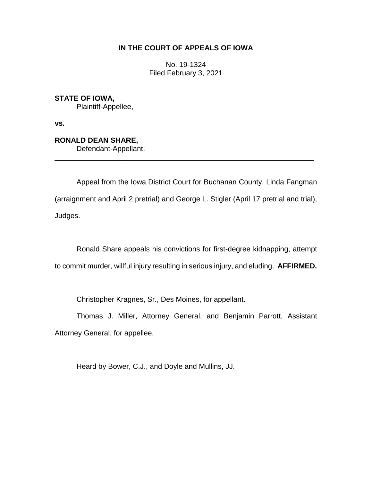# **IN THE COURT OF APPEALS OF IOWA**

No. 19-1324 Filed February 3, 2021

**STATE OF IOWA,** Plaintiff-Appellee,

**vs.**

**RONALD DEAN SHARE,** Defendant-Appellant.

Appeal from the Iowa District Court for Buchanan County, Linda Fangman (arraignment and April 2 pretrial) and George L. Stigler (April 17 pretrial and trial), Judges.

\_\_\_\_\_\_\_\_\_\_\_\_\_\_\_\_\_\_\_\_\_\_\_\_\_\_\_\_\_\_\_\_\_\_\_\_\_\_\_\_\_\_\_\_\_\_\_\_\_\_\_\_\_\_\_\_\_\_\_\_\_\_\_\_

Ronald Share appeals his convictions for first-degree kidnapping, attempt to commit murder, willful injury resulting in serious injury, and eluding. **AFFIRMED.**

Christopher Kragnes, Sr., Des Moines, for appellant.

Thomas J. Miller, Attorney General, and Benjamin Parrott, Assistant Attorney General, for appellee.

Heard by Bower, C.J., and Doyle and Mullins, JJ.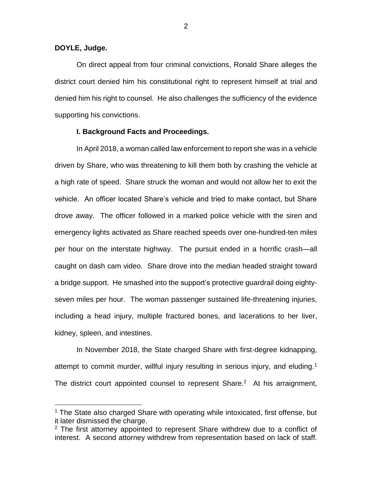## **DOYLE, Judge.**

 $\overline{a}$ 

On direct appeal from four criminal convictions, Ronald Share alleges the district court denied him his constitutional right to represent himself at trial and denied him his right to counsel. He also challenges the sufficiency of the evidence supporting his convictions.

## **I. Background Facts and Proceedings.**

In April 2018, a woman called law enforcement to report she was in a vehicle driven by Share, who was threatening to kill them both by crashing the vehicle at a high rate of speed. Share struck the woman and would not allow her to exit the vehicle. An officer located Share's vehicle and tried to make contact, but Share drove away. The officer followed in a marked police vehicle with the siren and emergency lights activated as Share reached speeds over one-hundred-ten miles per hour on the interstate highway. The pursuit ended in a horrific crash—all caught on dash cam video. Share drove into the median headed straight toward a bridge support. He smashed into the support's protective guardrail doing eightyseven miles per hour. The woman passenger sustained life-threatening injuries, including a head injury, multiple fractured bones, and lacerations to her liver, kidney, spleen, and intestines.

In November 2018, the State charged Share with first-degree kidnapping, attempt to commit murder, willful injury resulting in serious injury, and eluding.<sup>1</sup> The district court appointed counsel to represent Share. $2$  At his arraignment,

<sup>&</sup>lt;sup>1</sup> The State also charged Share with operating while intoxicated, first offense, but it later dismissed the charge.

 $2$  The first attorney appointed to represent Share withdrew due to a conflict of interest. A second attorney withdrew from representation based on lack of staff.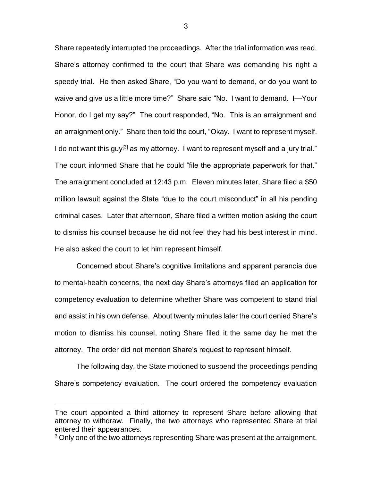Share repeatedly interrupted the proceedings. After the trial information was read, Share's attorney confirmed to the court that Share was demanding his right a speedy trial. He then asked Share, "Do you want to demand, or do you want to waive and give us a little more time?" Share said "No. I want to demand. I—Your Honor, do I get my say?" The court responded, "No. This is an arraignment and an arraignment only." Share then told the court, "Okay. I want to represent myself. I do not want this guy<sup>[3]</sup> as my attorney. I want to represent myself and a jury trial." The court informed Share that he could "file the appropriate paperwork for that." The arraignment concluded at 12:43 p.m. Eleven minutes later, Share filed a \$50 million lawsuit against the State "due to the court misconduct" in all his pending criminal cases. Later that afternoon, Share filed a written motion asking the court to dismiss his counsel because he did not feel they had his best interest in mind. He also asked the court to let him represent himself.

Concerned about Share's cognitive limitations and apparent paranoia due to mental-health concerns, the next day Share's attorneys filed an application for competency evaluation to determine whether Share was competent to stand trial and assist in his own defense. About twenty minutes later the court denied Share's motion to dismiss his counsel, noting Share filed it the same day he met the attorney. The order did not mention Share's request to represent himself.

The following day, the State motioned to suspend the proceedings pending Share's competency evaluation. The court ordered the competency evaluation

 $\overline{a}$ 

The court appointed a third attorney to represent Share before allowing that attorney to withdraw. Finally, the two attorneys who represented Share at trial entered their appearances.

<sup>&</sup>lt;sup>3</sup> Only one of the two attorneys representing Share was present at the arraignment.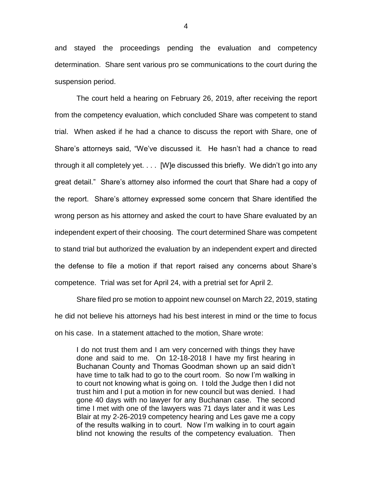and stayed the proceedings pending the evaluation and competency determination. Share sent various pro se communications to the court during the suspension period.

The court held a hearing on February 26, 2019, after receiving the report from the competency evaluation, which concluded Share was competent to stand trial. When asked if he had a chance to discuss the report with Share, one of Share's attorneys said, "We've discussed it. He hasn't had a chance to read through it all completely yet. . . . [W]e discussed this briefly. We didn't go into any great detail." Share's attorney also informed the court that Share had a copy of the report. Share's attorney expressed some concern that Share identified the wrong person as his attorney and asked the court to have Share evaluated by an independent expert of their choosing. The court determined Share was competent to stand trial but authorized the evaluation by an independent expert and directed the defense to file a motion if that report raised any concerns about Share's competence. Trial was set for April 24, with a pretrial set for April 2.

Share filed pro se motion to appoint new counsel on March 22, 2019, stating he did not believe his attorneys had his best interest in mind or the time to focus on his case. In a statement attached to the motion, Share wrote:

I do not trust them and I am very concerned with things they have done and said to me. On 12-18-2018 I have my first hearing in Buchanan County and Thomas Goodman shown up an said didn't have time to talk had to go to the court room. So now I'm walking in to court not knowing what is going on. I told the Judge then I did not trust him and I put a motion in for new council but was denied. I had gone 40 days with no lawyer for any Buchanan case. The second time I met with one of the lawyers was 71 days later and it was Les Blair at my 2-26-2019 competency hearing and Les gave me a copy of the results walking in to court. Now I'm walking in to court again blind not knowing the results of the competency evaluation. Then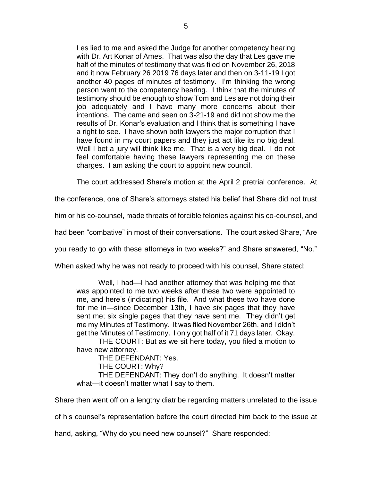Les lied to me and asked the Judge for another competency hearing with Dr. Art Konar of Ames. That was also the day that Les gave me half of the minutes of testimony that was filed on November 26, 2018 and it now February 26 2019 76 days later and then on 3-11-19 I got another 40 pages of minutes of testimony. I'm thinking the wrong person went to the competency hearing. I think that the minutes of testimony should be enough to show Tom and Les are not doing their job adequately and I have many more concerns about their intentions. The came and seen on 3-21-19 and did not show me the results of Dr. Konar's evaluation and I think that is something I have a right to see. I have shown both lawyers the major corruption that I have found in my court papers and they just act like its no big deal. Well I bet a jury will think like me. That is a very big deal. I do not feel comfortable having these lawyers representing me on these charges. I am asking the court to appoint new council.

The court addressed Share's motion at the April 2 pretrial conference. At

the conference, one of Share's attorneys stated his belief that Share did not trust

him or his co-counsel, made threats of forcible felonies against his co-counsel, and

had been "combative" in most of their conversations. The court asked Share, "Are

you ready to go with these attorneys in two weeks?" and Share answered, "No."

When asked why he was not ready to proceed with his counsel, Share stated:

Well, I had—I had another attorney that was helping me that was appointed to me two weeks after these two were appointed to me, and here's (indicating) his file. And what these two have done for me in—since December 13th, I have six pages that they have sent me; six single pages that they have sent me. They didn't get me my Minutes of Testimony. It was filed November 26th, and I didn't get the Minutes of Testimony. I only got half of it 71 days later. Okay. THE COURT: But as we sit here today, you filed a motion to

have new attorney.

THE DEFENDANT: Yes.

THE COURT: Why?

THE DEFENDANT: They don't do anything. It doesn't matter what—it doesn't matter what I say to them.

Share then went off on a lengthy diatribe regarding matters unrelated to the issue

of his counsel's representation before the court directed him back to the issue at

hand, asking, "Why do you need new counsel?" Share responded: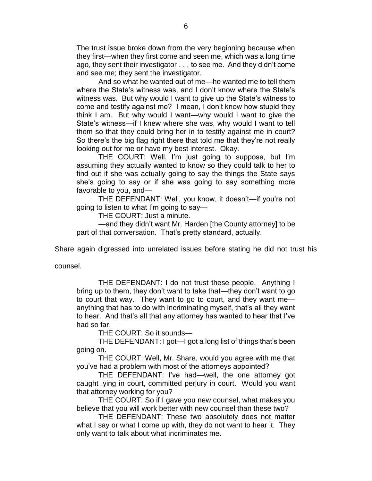The trust issue broke down from the very beginning because when they first—when they first come and seen me, which was a long time ago, they sent their investigator . . . to see me. And they didn't come and see me; they sent the investigator.

And so what he wanted out of me—he wanted me to tell them where the State's witness was, and I don't know where the State's witness was. But why would I want to give up the State's witness to come and testify against me? I mean, I don't know how stupid they think I am. But why would I want—why would I want to give the State's witness—if I knew where she was, why would I want to tell them so that they could bring her in to testify against me in court? So there's the big flag right there that told me that they're not really looking out for me or have my best interest. Okay.

THE COURT: Well, I'm just going to suppose, but I'm assuming they actually wanted to know so they could talk to her to find out if she was actually going to say the things the State says she's going to say or if she was going to say something more favorable to you, and—

THE DEFENDANT: Well, you know, it doesn't—if you're not going to listen to what I'm going to say—

THE COURT: Just a minute.

—and they didn't want Mr. Harden [the County attorney] to be part of that conversation. That's pretty standard, actually.

Share again digressed into unrelated issues before stating he did not trust his

counsel.

THE DEFENDANT: I do not trust these people. Anything I bring up to them, they don't want to take that—they don't want to go to court that way. They want to go to court, and they want me anything that has to do with incriminating myself, that's all they want to hear. And that's all that any attorney has wanted to hear that I've had so far.

THE COURT: So it sounds—

THE DEFENDANT: I got—I got a long list of things that's been going on.

THE COURT: Well, Mr. Share, would you agree with me that you've had a problem with most of the attorneys appointed?

THE DEFENDANT: I've had—well, the one attorney got caught lying in court, committed perjury in court. Would you want that attorney working for you?

THE COURT: So if I gave you new counsel, what makes you believe that you will work better with new counsel than these two?

THE DEFENDANT: These two absolutely does not matter what I say or what I come up with, they do not want to hear it. They only want to talk about what incriminates me.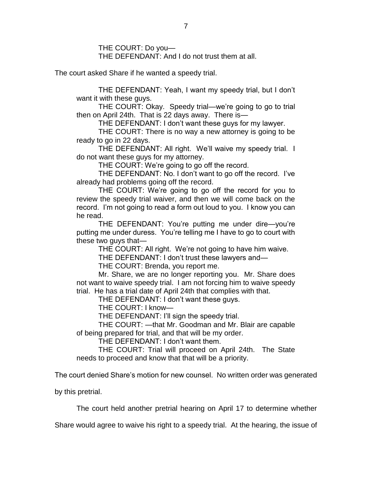THE COURT: Do you— THE DEFENDANT: And I do not trust them at all.

The court asked Share if he wanted a speedy trial.

THE DEFENDANT: Yeah, I want my speedy trial, but I don't want it with these guys.

THE COURT: Okay. Speedy trial—we're going to go to trial then on April 24th. That is 22 days away. There is—

THE DEFENDANT: I don't want these guys for my lawyer.

THE COURT: There is no way a new attorney is going to be ready to go in 22 days.

THE DEFENDANT: All right. We'll waive my speedy trial. I do not want these guys for my attorney.

THE COURT: We're going to go off the record.

THE DEFENDANT: No. I don't want to go off the record. I've already had problems going off the record.

THE COURT: We're going to go off the record for you to review the speedy trial waiver, and then we will come back on the record. I'm not going to read a form out loud to you. I know you can he read.

THE DEFENDANT: You're putting me under dire—you're putting me under duress. You're telling me I have to go to court with these two guys that—

THE COURT: All right. We're not going to have him waive.

THE DEFENDANT: I don't trust these lawyers and—

THE COURT: Brenda, you report me.

Mr. Share, we are no longer reporting you. Mr. Share does not want to waive speedy trial. I am not forcing him to waive speedy trial. He has a trial date of April 24th that complies with that.

THE DEFENDANT: I don't want these guys.

THE COURT: I know—

THE DEFENDANT: I'll sign the speedy trial.

THE COURT: —that Mr. Goodman and Mr. Blair are capable of being prepared for trial, and that will be my order.

THE DEFENDANT: I don't want them.

THE COURT: Trial will proceed on April 24th. The State needs to proceed and know that that will be a priority.

The court denied Share's motion for new counsel. No written order was generated

by this pretrial.

The court held another pretrial hearing on April 17 to determine whether

Share would agree to waive his right to a speedy trial. At the hearing, the issue of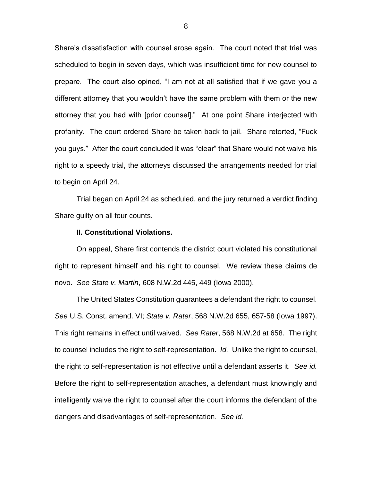Share's dissatisfaction with counsel arose again. The court noted that trial was scheduled to begin in seven days, which was insufficient time for new counsel to prepare. The court also opined, "I am not at all satisfied that if we gave you a different attorney that you wouldn't have the same problem with them or the new attorney that you had with [prior counsel]." At one point Share interjected with profanity. The court ordered Share be taken back to jail. Share retorted, "Fuck you guys." After the court concluded it was "clear" that Share would not waive his right to a speedy trial, the attorneys discussed the arrangements needed for trial to begin on April 24.

Trial began on April 24 as scheduled, and the jury returned a verdict finding Share guilty on all four counts.

### **II. Constitutional Violations.**

On appeal, Share first contends the district court violated his constitutional right to represent himself and his right to counsel. We review these claims de novo. *See State v. Martin*, 608 N.W.2d 445, 449 (Iowa 2000).

The United States Constitution guarantees a defendant the right to counsel. *See* U.S. Const. amend. VI; *State v. Rater*, 568 N.W.2d 655, 657-58 (Iowa 1997). This right remains in effect until waived. *See Rater*, 568 N.W.2d at 658. The right to counsel includes the right to self-representation. *Id.* Unlike the right to counsel, the right to self-representation is not effective until a defendant asserts it. *See id.*  Before the right to self-representation attaches, a defendant must knowingly and intelligently waive the right to counsel after the court informs the defendant of the dangers and disadvantages of self-representation. *See id.*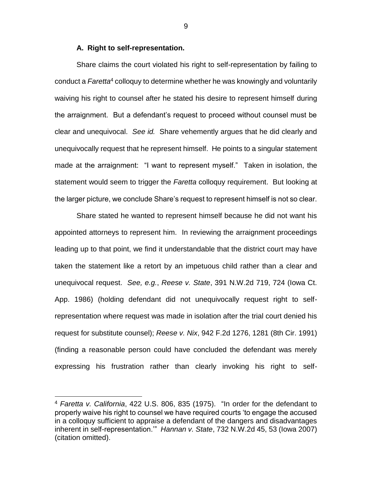## **A. Right to self-representation.**

Share claims the court violated his right to self-representation by failing to conduct a *Faretta*<sup>4</sup> colloquy to determine whether he was knowingly and voluntarily waiving his right to counsel after he stated his desire to represent himself during the arraignment. But a defendant's request to proceed without counsel must be clear and unequivocal. *See id.* Share vehemently argues that he did clearly and unequivocally request that he represent himself. He points to a singular statement made at the arraignment: "I want to represent myself." Taken in isolation, the statement would seem to trigger the *Faretta* colloquy requirement. But looking at the larger picture, we conclude Share's request to represent himself is not so clear.

Share stated he wanted to represent himself because he did not want his appointed attorneys to represent him. In reviewing the arraignment proceedings leading up to that point, we find it understandable that the district court may have taken the statement like a retort by an impetuous child rather than a clear and unequivocal request. *See, e.g.*, *Reese v. State*, 391 N.W.2d 719, 724 (Iowa Ct. App. 1986) (holding defendant did not unequivocally request right to selfrepresentation where request was made in isolation after the trial court denied his request for substitute counsel); *Reese v. Nix*, 942 F.2d 1276, 1281 (8th Cir. 1991) (finding a reasonable person could have concluded the defendant was merely expressing his frustration rather than clearly invoking his right to self-

 $\overline{a}$ 

9

<sup>4</sup> *Faretta v. California*, 422 U.S. 806, 835 (1975). "In order for the defendant to properly waive his right to counsel we have required courts 'to engage the accused in a colloquy sufficient to appraise a defendant of the dangers and disadvantages inherent in self-representation.'" *Hannan v. State*, 732 N.W.2d 45, 53 (Iowa 2007) (citation omitted).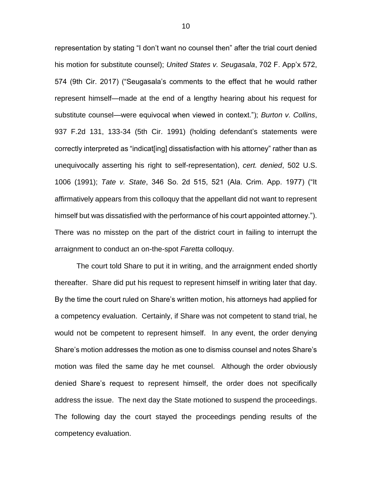representation by stating "I don't want no counsel then" after the trial court denied his motion for substitute counsel); *United States v. Seugasala*, 702 F. App'x 572, 574 (9th Cir. 2017) ("Seugasala's comments to the effect that he would rather represent himself—made at the end of a lengthy hearing about his request for substitute counsel—were equivocal when viewed in context."); *Burton v. Collins*, 937 F.2d 131, 133-34 (5th Cir. 1991) (holding defendant's statements were correctly interpreted as "indicat[ing] dissatisfaction with his attorney" rather than as unequivocally asserting his right to self-representation), *cert. denied*, 502 U.S. 1006 (1991); *Tate v. State*, 346 So. 2d 515, 521 (Ala. Crim. App. 1977) ("It affirmatively appears from this colloquy that the appellant did not want to represent himself but was dissatisfied with the performance of his court appointed attorney."). There was no misstep on the part of the district court in failing to interrupt the arraignment to conduct an on-the-spot *Faretta* colloquy.

The court told Share to put it in writing, and the arraignment ended shortly thereafter. Share did put his request to represent himself in writing later that day. By the time the court ruled on Share's written motion, his attorneys had applied for a competency evaluation. Certainly, if Share was not competent to stand trial, he would not be competent to represent himself. In any event, the order denying Share's motion addresses the motion as one to dismiss counsel and notes Share's motion was filed the same day he met counsel. Although the order obviously denied Share's request to represent himself, the order does not specifically address the issue. The next day the State motioned to suspend the proceedings. The following day the court stayed the proceedings pending results of the competency evaluation.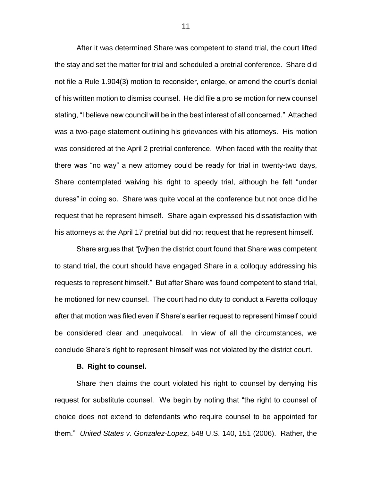After it was determined Share was competent to stand trial, the court lifted the stay and set the matter for trial and scheduled a pretrial conference. Share did not file a Rule 1.904(3) motion to reconsider, enlarge, or amend the court's denial of his written motion to dismiss counsel. He did file a pro se motion for new counsel stating, "I believe new council will be in the best interest of all concerned." Attached was a two-page statement outlining his grievances with his attorneys. His motion was considered at the April 2 pretrial conference. When faced with the reality that there was "no way" a new attorney could be ready for trial in twenty-two days, Share contemplated waiving his right to speedy trial, although he felt "under duress" in doing so. Share was quite vocal at the conference but not once did he request that he represent himself. Share again expressed his dissatisfaction with his attorneys at the April 17 pretrial but did not request that he represent himself.

Share argues that "[w]hen the district court found that Share was competent to stand trial, the court should have engaged Share in a colloquy addressing his requests to represent himself." But after Share was found competent to stand trial, he motioned for new counsel. The court had no duty to conduct a *Faretta* colloquy after that motion was filed even if Share's earlier request to represent himself could be considered clear and unequivocal. In view of all the circumstances, we conclude Share's right to represent himself was not violated by the district court.

## **B. Right to counsel.**

Share then claims the court violated his right to counsel by denying his request for substitute counsel. We begin by noting that "the right to counsel of choice does not extend to defendants who require counsel to be appointed for them." *United States v. Gonzalez-Lopez*, 548 U.S. 140, 151 (2006). Rather, the

11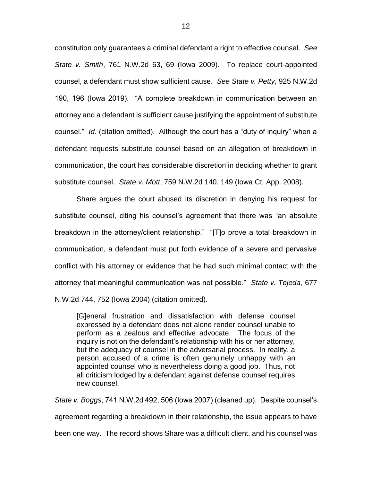constitution only guarantees a criminal defendant a right to effective counsel. *See State v. Smith*, 761 N.W.2d 63, 69 (Iowa 2009). To replace court-appointed counsel, a defendant must show sufficient cause. *See State v. Petty*, 925 N.W.2d 190, 196 (Iowa 2019). "A complete breakdown in communication between an attorney and a defendant is sufficient cause justifying the appointment of substitute counsel." *Id.* (citation omitted). Although the court has a "duty of inquiry" when a defendant requests substitute counsel based on an allegation of breakdown in communication, the court has considerable discretion in deciding whether to grant substitute counsel. *State v. Mott*, 759 N.W.2d 140, 149 (Iowa Ct. App. 2008).

Share argues the court abused its discretion in denying his request for substitute counsel, citing his counsel's agreement that there was "an absolute breakdown in the attorney/client relationship." "[T]o prove a total breakdown in communication, a defendant must put forth evidence of a severe and pervasive conflict with his attorney or evidence that he had such minimal contact with the attorney that meaningful communication was not possible." *State v. Tejeda*, 677 N.W.2d 744, 752 (Iowa 2004) (citation omitted).

[G]eneral frustration and dissatisfaction with defense counsel expressed by a defendant does not alone render counsel unable to perform as a zealous and effective advocate. The focus of the inquiry is not on the defendant's relationship with his or her attorney, but the adequacy of counsel in the adversarial process. In reality, a person accused of a crime is often genuinely unhappy with an appointed counsel who is nevertheless doing a good job. Thus, not all criticism lodged by a defendant against defense counsel requires new counsel.

*State v. Boggs*, 741 N.W.2d 492, 506 (Iowa 2007) (cleaned up). Despite counsel's agreement regarding a breakdown in their relationship, the issue appears to have been one way. The record shows Share was a difficult client, and his counsel was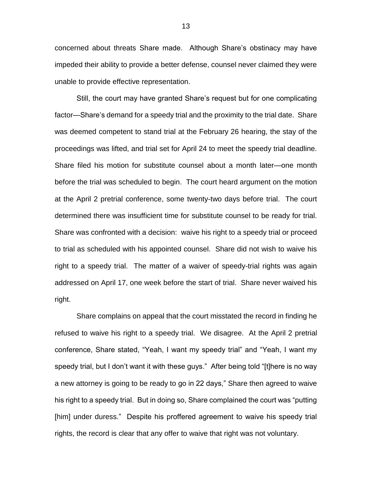concerned about threats Share made. Although Share's obstinacy may have impeded their ability to provide a better defense, counsel never claimed they were unable to provide effective representation.

Still, the court may have granted Share's request but for one complicating factor—Share's demand for a speedy trial and the proximity to the trial date. Share was deemed competent to stand trial at the February 26 hearing, the stay of the proceedings was lifted, and trial set for April 24 to meet the speedy trial deadline. Share filed his motion for substitute counsel about a month later—one month before the trial was scheduled to begin. The court heard argument on the motion at the April 2 pretrial conference, some twenty-two days before trial. The court determined there was insufficient time for substitute counsel to be ready for trial. Share was confronted with a decision: waive his right to a speedy trial or proceed to trial as scheduled with his appointed counsel. Share did not wish to waive his right to a speedy trial. The matter of a waiver of speedy-trial rights was again addressed on April 17, one week before the start of trial. Share never waived his right.

Share complains on appeal that the court misstated the record in finding he refused to waive his right to a speedy trial. We disagree. At the April 2 pretrial conference, Share stated, "Yeah, I want my speedy trial" and "Yeah, I want my speedy trial, but I don't want it with these guys." After being told "[t]here is no way a new attorney is going to be ready to go in 22 days," Share then agreed to waive his right to a speedy trial. But in doing so, Share complained the court was "putting [him] under duress." Despite his proffered agreement to waive his speedy trial rights, the record is clear that any offer to waive that right was not voluntary.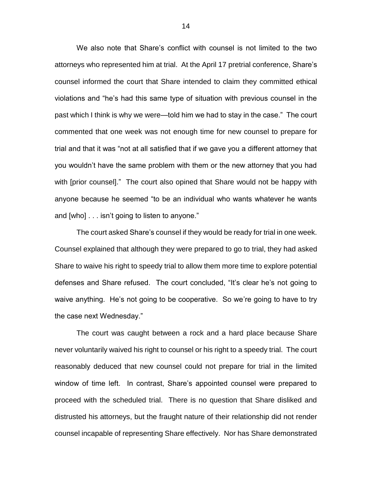We also note that Share's conflict with counsel is not limited to the two attorneys who represented him at trial. At the April 17 pretrial conference, Share's counsel informed the court that Share intended to claim they committed ethical violations and "he's had this same type of situation with previous counsel in the past which I think is why we were—told him we had to stay in the case." The court commented that one week was not enough time for new counsel to prepare for trial and that it was "not at all satisfied that if we gave you a different attorney that you wouldn't have the same problem with them or the new attorney that you had with [prior counsel]." The court also opined that Share would not be happy with anyone because he seemed "to be an individual who wants whatever he wants and [who] . . . isn't going to listen to anyone."

The court asked Share's counsel if they would be ready for trial in one week. Counsel explained that although they were prepared to go to trial, they had asked Share to waive his right to speedy trial to allow them more time to explore potential defenses and Share refused. The court concluded, "It's clear he's not going to waive anything. He's not going to be cooperative. So we're going to have to try the case next Wednesday."

The court was caught between a rock and a hard place because Share never voluntarily waived his right to counsel or his right to a speedy trial. The court reasonably deduced that new counsel could not prepare for trial in the limited window of time left. In contrast, Share's appointed counsel were prepared to proceed with the scheduled trial. There is no question that Share disliked and distrusted his attorneys, but the fraught nature of their relationship did not render counsel incapable of representing Share effectively. Nor has Share demonstrated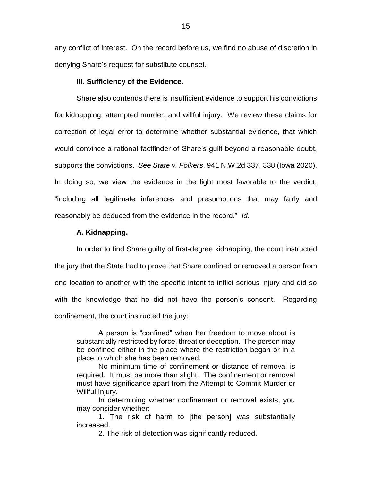any conflict of interest. On the record before us, we find no abuse of discretion in denying Share's request for substitute counsel.

## **III. Sufficiency of the Evidence.**

Share also contends there is insufficient evidence to support his convictions for kidnapping, attempted murder, and willful injury. We review these claims for correction of legal error to determine whether substantial evidence, that which would convince a rational factfinder of Share's guilt beyond a reasonable doubt, supports the convictions. *See State v. Folkers*, 941 N.W.2d 337, 338 (Iowa 2020). In doing so, we view the evidence in the light most favorable to the verdict, "including all legitimate inferences and presumptions that may fairly and reasonably be deduced from the evidence in the record." *Id.*

## **A. Kidnapping.**

In order to find Share guilty of first-degree kidnapping, the court instructed the jury that the State had to prove that Share confined or removed a person from one location to another with the specific intent to inflict serious injury and did so with the knowledge that he did not have the person's consent. Regarding confinement, the court instructed the jury:

A person is "confined" when her freedom to move about is substantially restricted by force, threat or deception. The person may be confined either in the place where the restriction began or in a place to which she has been removed.

No minimum time of confinement or distance of removal is required. It must be more than slight. The confinement or removal must have significance apart from the Attempt to Commit Murder or Willful Injury.

In determining whether confinement or removal exists, you may consider whether:

1. The risk of harm to [the person] was substantially increased.

2. The risk of detection was significantly reduced.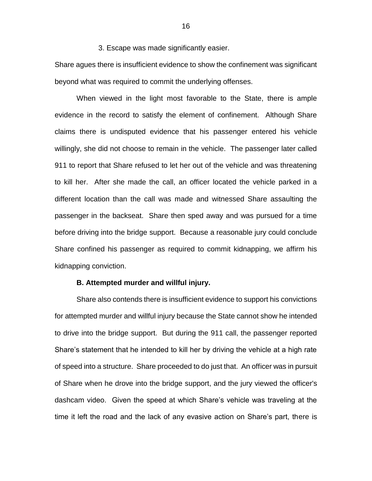3. Escape was made significantly easier.

Share agues there is insufficient evidence to show the confinement was significant beyond what was required to commit the underlying offenses.

When viewed in the light most favorable to the State, there is ample evidence in the record to satisfy the element of confinement. Although Share claims there is undisputed evidence that his passenger entered his vehicle willingly, she did not choose to remain in the vehicle. The passenger later called 911 to report that Share refused to let her out of the vehicle and was threatening to kill her. After she made the call, an officer located the vehicle parked in a different location than the call was made and witnessed Share assaulting the passenger in the backseat. Share then sped away and was pursued for a time before driving into the bridge support. Because a reasonable jury could conclude Share confined his passenger as required to commit kidnapping, we affirm his kidnapping conviction.

#### **B. Attempted murder and willful injury.**

Share also contends there is insufficient evidence to support his convictions for attempted murder and willful injury because the State cannot show he intended to drive into the bridge support. But during the 911 call, the passenger reported Share's statement that he intended to kill her by driving the vehicle at a high rate of speed into a structure. Share proceeded to do just that. An officer was in pursuit of Share when he drove into the bridge support, and the jury viewed the officer's dashcam video. Given the speed at which Share's vehicle was traveling at the time it left the road and the lack of any evasive action on Share's part, there is